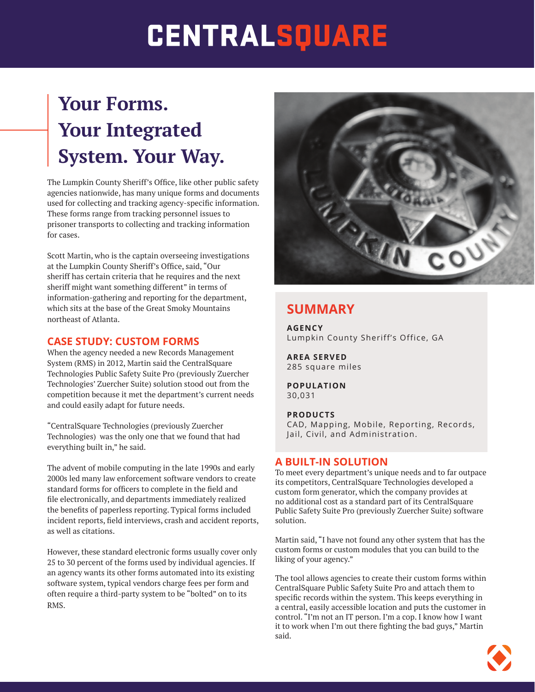# **CENTRALSQUARE**

## **Your Forms. Your Integrated System. Your Way.**

The Lumpkin County Sheriff's Office, like other public safety agencies nationwide, has many unique forms and documents used for collecting and tracking agency-specific information. These forms range from tracking personnel issues to prisoner transports to collecting and tracking information for cases.

Scott Martin, who is the captain overseeing investigations at the Lumpkin County Sheriff's Office, said, "Our sheriff has certain criteria that he requires and the next sheriff might want something different" in terms of information-gathering and reporting for the department, which sits at the base of the Great Smoky Mountains northeast of Atlanta.

#### **CASE STUDY: CUSTOM FORMS**

When the agency needed a new Records Management System (RMS) in 2012, Martin said the CentralSquare Technologies Public Safety Suite Pro (previously Zuercher Technologies' Zuercher Suite) solution stood out from the competition because it met the department's current needs and could easily adapt for future needs.

"CentralSquare Technologies (previously Zuercher Technologies) was the only one that we found that had everything built in," he said.

The advent of mobile computing in the late 1990s and early 2000s led many law enforcement software vendors to create standard forms for officers to complete in the field and file electronically, and departments immediately realized the benefits of paperless reporting. Typical forms included incident reports, field interviews, crash and accident reports, as well as citations.

However, these standard electronic forms usually cover only 25 to 30 percent of the forms used by individual agencies. If an agency wants its other forms automated into its existing software system, typical vendors charge fees per form and often require a third-party system to be "bolted" on to its RMS.



### **SUMMARY**

**AGENCY** Lumpkin County Sheriff's Office, GA

**AREA SERVED** 285 square miles

**POPULATION** 30,031

#### **PRODUCTS**

CAD, Mapping, Mobile, Reporting, Records, Jail, Civil, and Administration.

#### **A BUILT-IN SOLUTION**

To meet every department's unique needs and to far outpace its competitors, CentralSquare Technologies developed a custom form generator, which the company provides at no additional cost as a standard part of its CentralSquare Public Safety Suite Pro (previously Zuercher Suite) software solution.

Martin said, "I have not found any other system that has the custom forms or custom modules that you can build to the liking of your agency."

The tool allows agencies to create their custom forms within CentralSquare Public Safety Suite Pro and attach them to specific records within the system. This keeps everything in a central, easily accessible location and puts the customer in control. "I'm not an IT person. I'm a cop. I know how I want it to work when I'm out there fighting the bad guys," Martin said.